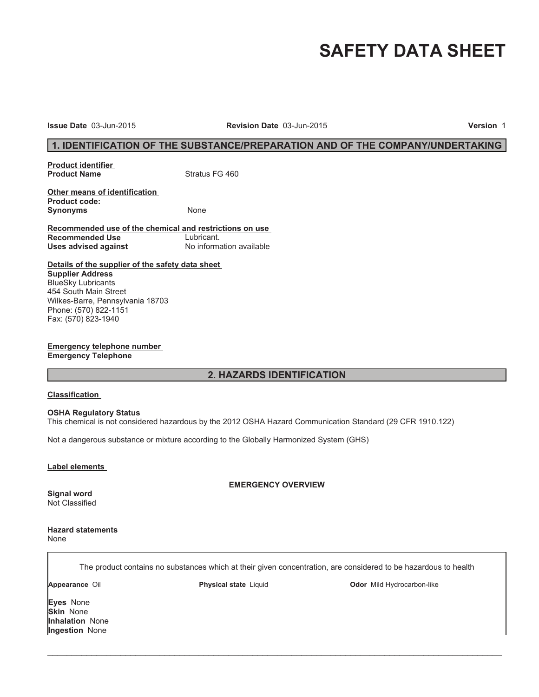# **SAFETY DATA SHEET**

**Issue Date** 03-Jun-2015 **Revision Date** 03-Jun-2015 **Version** 1

#### **1. IDENTIFICATION OF THE SUBSTANCE/PREPARATION AND OF THE COMPANY/UNDERTAKING**

**Product identifier Product Name** Stratus FG 460

**Other means of identification Product code:** Synonyms None

**Recommended use of the chemical and restrictions on use Recommended Use** Lubricant.<br> **Uses advised against** Mo information available **Uses advised against** 

**Details of the supplier of the safety data sheet Supplier Address** BlueSky Lubricants 454 South Main Street Wilkes-Barre, Pennsylvania 18703 Phone: (570) 822-1151 Fax: (570) 823-1940

**Emergency telephone number Emergency Telephone**

#### **2. HAZARDS IDENTIFICATION**

#### **Classification**

#### **OSHA Regulatory Status**

This chemical is not considered hazardous by the 2012 OSHA Hazard Communication Standard (29 CFR 1910.122)

Not a dangerous substance or mixture according to the Globally Harmonized System (GHS)

#### **Label elements**

**EMERGENCY OVERVIEW**

Not Classified

**Signal word**

**Hazard statements** None

The product contains no substances which at their given concentration, are considered to be hazardous to health

 $\_$  ,  $\_$  ,  $\_$  ,  $\_$  ,  $\_$  ,  $\_$  ,  $\_$  ,  $\_$  ,  $\_$  ,  $\_$  ,  $\_$  ,  $\_$  ,  $\_$  ,  $\_$  ,  $\_$  ,  $\_$  ,  $\_$  ,  $\_$  ,  $\_$  ,  $\_$  ,  $\_$  ,  $\_$  ,  $\_$  ,  $\_$  ,  $\_$  ,  $\_$  ,  $\_$  ,  $\_$  ,  $\_$  ,  $\_$  ,  $\_$  ,  $\_$  ,  $\_$  ,  $\_$  ,  $\_$  ,  $\_$  ,  $\_$  ,

**Appearance** Oil **Physical state** Liquid **Odor** Mild Hydrocarbon-like

**Eyes** None **Skin** None **Inhalation** None **Ingestion** None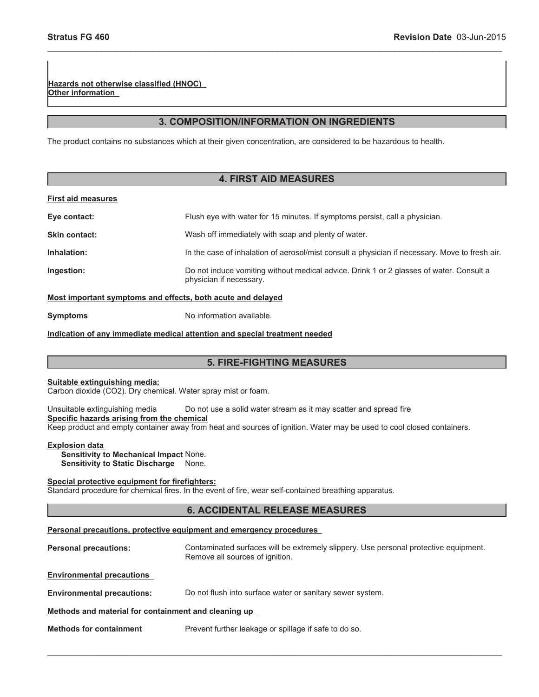**Hazards not otherwise classified (HNOC) Other information**

#### **3. COMPOSITION/INFORMATION ON INGREDIENTS**

\_\_\_\_\_\_\_\_\_\_\_\_\_\_\_\_\_\_\_\_\_\_\_\_\_\_\_\_\_\_\_\_\_\_\_\_\_\_\_\_\_\_\_\_\_\_\_\_\_\_\_\_\_\_\_\_\_\_\_\_\_\_\_\_\_\_\_\_\_\_\_\_\_\_\_\_\_\_\_\_\_\_\_\_\_\_\_\_\_\_\_\_\_

The product contains no substances which at their given concentration, are considered to be hazardous to health.

#### **4. FIRST AID MEASURES**

#### **First aid measures**

| Eye contact:         | Flush eye with water for 15 minutes. If symptoms persist, call a physician.                                        |
|----------------------|--------------------------------------------------------------------------------------------------------------------|
| <b>Skin contact:</b> | Wash off immediately with soap and plenty of water.                                                                |
| Inhalation:          | In the case of inhalation of aerosol/mist consult a physician if necessary. Move to fresh air.                     |
| Ingestion:           | Do not induce vomiting without medical advice. Drink 1 or 2 glasses of water. Consult a<br>physician if necessary. |

#### **Most important symptoms and effects, both acute and delayed**

**Symptoms** No information available.

#### **Indication of any immediate medical attention and special treatment needed**

#### **5. FIRE-FIGHTING MEASURES**

#### **Suitable extinguishing media:**

Carbon dioxide (CO2). Dry chemical. Water spray mist or foam.

Unsuitable extinguishing media Do not use a solid water stream as it may scatter and spread fire **Specific hazards arising from the chemical**

Keep product and empty container away from heat and sources of ignition. Water may be used to cool closed containers.

#### **Explosion data**

**Sensitivity to Mechanical Impact** None. **Sensitivity to Static Discharge** None.

#### **Special protective equipment for firefighters:**

Standard procedure for chemical fires. In the event of fire, wear self-contained breathing apparatus.

#### **6. ACCIDENTAL RELEASE MEASURES**

#### **Personal precautions, protective equipment and emergency procedures**

**Personal precautions:** Contaminated surfaces will be extremely slippery. Use personal protective equipment. Remove all sources of ignition.

 $\_$  , and the contribution of the contribution of the contribution of the contribution of  $\mathcal{L}_\text{max}$ 

**Environmental precautions**

**Environmental precautions:** Do not flush into surface water or sanitary sewer system.

#### **Methods and material for containment and cleaning up**

**Methods for containment** Prevent further leakage or spillage if safe to do so.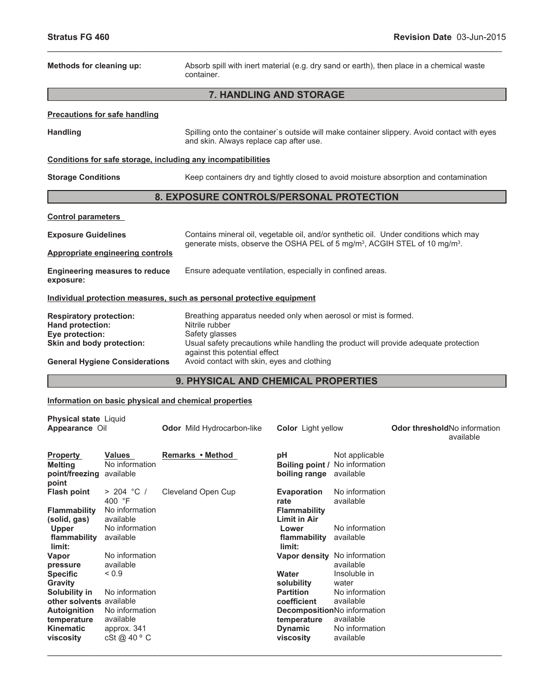| Methods for cleaning up:                                              | Absorb spill with inert material (e.g. dry sand or earth), then place in a chemical waste<br>container.                                                                                     |  |  |
|-----------------------------------------------------------------------|---------------------------------------------------------------------------------------------------------------------------------------------------------------------------------------------|--|--|
|                                                                       | <b>7. HANDLING AND STORAGE</b>                                                                                                                                                              |  |  |
| <b>Precautions for safe handling</b>                                  |                                                                                                                                                                                             |  |  |
| <b>Handling</b>                                                       | Spilling onto the container's outside will make container slippery. Avoid contact with eyes<br>and skin. Always replace cap after use.                                                      |  |  |
| Conditions for safe storage, including any incompatibilities          |                                                                                                                                                                                             |  |  |
| <b>Storage Conditions</b>                                             | Keep containers dry and tightly closed to avoid moisture absorption and contamination                                                                                                       |  |  |
| 8. EXPOSURE CONTROLS/PERSONAL PROTECTION                              |                                                                                                                                                                                             |  |  |
| <b>Control parameters</b>                                             |                                                                                                                                                                                             |  |  |
| <b>Exposure Guidelines</b>                                            | Contains mineral oil, vegetable oil, and/or synthetic oil. Under conditions which may<br>generate mists, observe the OSHA PEL of 5 mg/m <sup>3</sup> , ACGIH STEL of 10 mg/m <sup>3</sup> . |  |  |
| Appropriate engineering controls                                      |                                                                                                                                                                                             |  |  |
| <b>Engineering measures to reduce</b><br>exposure:                    | Ensure adequate ventilation, especially in confined areas.                                                                                                                                  |  |  |
| Individual protection measures, such as personal protective equipment |                                                                                                                                                                                             |  |  |
| <b>Respiratory protection:</b><br>Hand protection:<br>Eye protection: | Breathing apparatus needed only when aerosol or mist is formed.<br>Nitrile rubber<br>Safety glasses<br>Usual safety precautions while handling the product will provide adequate protection |  |  |
| Skin and body protection:<br><b>General Hygiene Considerations</b>    | against this potential effect<br>Avoid contact with skin, eyes and clothing                                                                                                                 |  |  |
| <b>9. PHYSICAL AND CHEMICAL PROPERTIES</b>                            |                                                                                                                                                                                             |  |  |

\_\_\_\_\_\_\_\_\_\_\_\_\_\_\_\_\_\_\_\_\_\_\_\_\_\_\_\_\_\_\_\_\_\_\_\_\_\_\_\_\_\_\_\_\_\_\_\_\_\_\_\_\_\_\_\_\_\_\_\_\_\_\_\_\_\_\_\_\_\_\_\_\_\_\_\_\_\_\_\_\_\_\_\_\_\_\_\_\_\_\_\_\_

## **Information on basic physical and chemical properties**

| Physical state Liquid<br>Appearance Oil                      |                                              | <b>Odor</b> Mild Hydrocarbon-like | <b>Color</b> Light yellow                  |                                               | Odor threshold No information<br>available |
|--------------------------------------------------------------|----------------------------------------------|-----------------------------------|--------------------------------------------|-----------------------------------------------|--------------------------------------------|
| <b>Property</b><br><b>Melting</b><br>point/freezing<br>point | <b>Values</b><br>No information<br>available | Remarks • Method                  | рH<br>Boiling point /<br>boiling range     | Not applicable<br>No information<br>available |                                            |
| <b>Flash point</b>                                           | > 204 °C /<br>400 $\degree$ F                | Cleveland Open Cup                | Evaporation<br>rate                        | No information<br>available                   |                                            |
| <b>Flammability</b><br>(solid, gas)                          | No information<br>available                  |                                   | <b>Flammability</b><br><b>Limit in Air</b> |                                               |                                            |
| <b>Upper</b><br>flammability<br>limit:                       | No information<br>available                  |                                   | Lower<br>flammability<br>limit:            | No information<br>available                   |                                            |
| Vapor<br>pressure                                            | No information<br>available                  |                                   | Vapor density                              | No information<br>available                   |                                            |
| <b>Specific</b><br><b>Gravity</b>                            | ${}_{0.9}$                                   |                                   | Water<br>solubility                        | Insoluble in<br>water                         |                                            |
| Solubility in<br>other solvents available                    | No information                               |                                   | <b>Partition</b><br>coefficient            | No information<br>available                   |                                            |
| <b>Autoignition</b><br>temperature                           | No information<br>available                  |                                   | temperature                                | DecompositionNo information<br>available      |                                            |
| <b>Kinematic</b><br>viscosity                                | approx. 341<br>cSt@40°C                      |                                   | <b>Dynamic</b><br>viscosity                | No information<br>available                   |                                            |
|                                                              |                                              |                                   |                                            |                                               |                                            |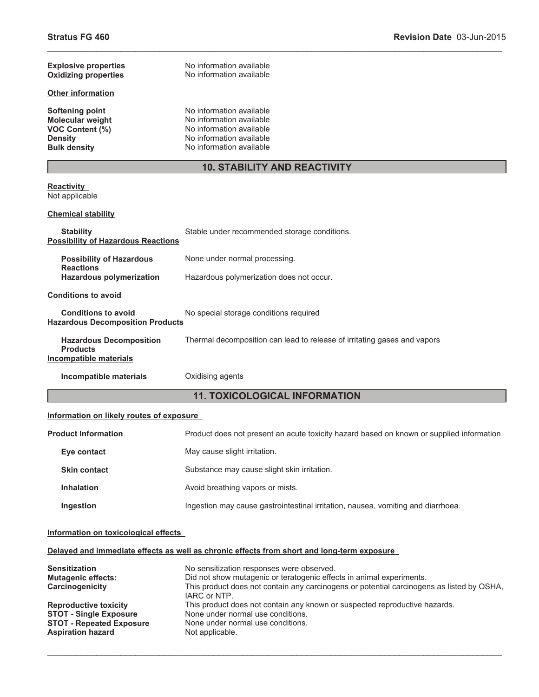| <b>Explosive properties</b> | No information available            |
|-----------------------------|-------------------------------------|
| <b>Oxidizing properties</b> | No information available            |
| <b>Other information</b>    |                                     |
| Softening point             | No information available            |
| <b>Molecular weight</b>     | No information available            |
| <b>VOC Content (%)</b>      | No information available            |
| <b>Density</b>              | No information available            |
| <b>Bulk density</b>         | No information available            |
|                             | <b>10. STABILITY AND REACTIVITY</b> |

#### **Reactivity** Not applicable

#### **Chemical stability**

| <b>Stability</b><br><b>Possibility of Hazardous Reactions</b>               | Stable under recommended storage conditions.                             |
|-----------------------------------------------------------------------------|--------------------------------------------------------------------------|
| <b>Possibility of Hazardous</b><br><b>Reactions</b>                         | None under normal processing.                                            |
| <b>Hazardous polymerization</b>                                             | Hazardous polymerization does not occur.                                 |
| <b>Conditions to avoid</b>                                                  |                                                                          |
| <b>Conditions to avoid</b><br><b>Hazardous Decomposition Products</b>       | No special storage conditions required                                   |
| <b>Hazardous Decomposition</b><br><b>Products</b><br>Incompatible materials | Thermal decomposition can lead to release of irritating gases and vapors |
| Incompatible materials                                                      | Oxidising agents                                                         |

### **11. TOXICOLOGICAL INFORMATION**

\_\_\_\_\_\_\_\_\_\_\_\_\_\_\_\_\_\_\_\_\_\_\_\_\_\_\_\_\_\_\_\_\_\_\_\_\_\_\_\_\_\_\_\_\_\_\_\_\_\_\_\_\_\_\_\_\_\_\_\_\_\_\_\_\_\_\_\_\_\_\_\_\_\_\_\_\_\_\_\_\_\_\_\_\_\_\_\_\_\_\_\_\_

#### **Information on likely routes of exposure**

| <b>Product Information</b> |                     | Product does not present an acute toxicity hazard based on known or supplied information |  |
|----------------------------|---------------------|------------------------------------------------------------------------------------------|--|
|                            | Eye contact         | May cause slight irritation.                                                             |  |
|                            | <b>Skin contact</b> | Substance may cause slight skin irritation.                                              |  |
|                            | <b>Inhalation</b>   | Avoid breathing vapors or mists.                                                         |  |
|                            | Ingestion           | Ingestion may cause gastrointestinal irritation, nausea, vomiting and diarrhoea.         |  |

#### **Information on toxicological effects**

#### **Delayed and immediate effects as well as chronic effects from short and long-term exposure**

| <b>Sensitization</b><br><b>Mutagenic effects:</b><br>Carcinogenicity | No sensitization responses were observed.<br>Did not show mutagenic or teratogenic effects in animal experiments.<br>This product does not contain any carcinogens or potential carcinogens as listed by OSHA,<br>IARC or NTP. |
|----------------------------------------------------------------------|--------------------------------------------------------------------------------------------------------------------------------------------------------------------------------------------------------------------------------|
| <b>Reproductive toxicity</b>                                         | This product does not contain any known or suspected reproductive hazards.                                                                                                                                                     |
| <b>STOT - Single Exposure</b>                                        | None under normal use conditions.                                                                                                                                                                                              |
| <b>STOT - Repeated Exposure</b>                                      | None under normal use conditions.                                                                                                                                                                                              |
| <b>Aspiration hazard</b>                                             | Not applicable.                                                                                                                                                                                                                |

 $\_$  , and the contribution of the contribution of the contribution of the contribution of  $\mathcal{L}_\text{max}$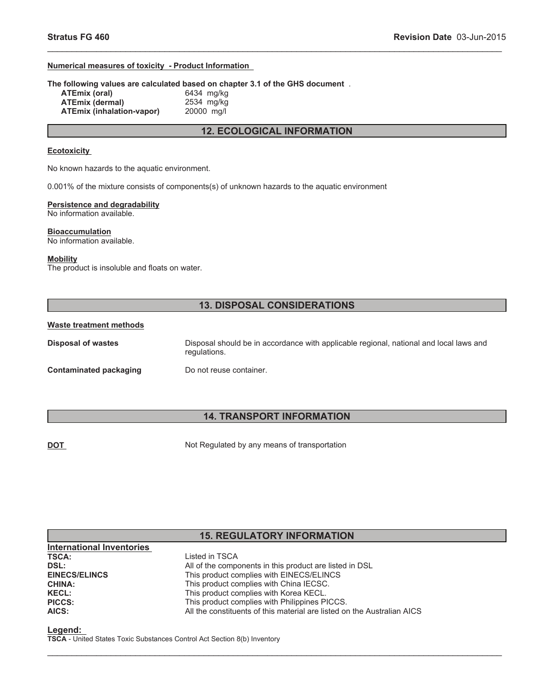#### **Numerical measures of toxicity - Product Information**

**The following values are calculated based on chapter 3.1 of the GHS document** .

**ATEmix (oral)** 6434 mg/kg<br>**ATEmix (dermal)** 2534 mg/kg **ATEmix (dermal) ATEmix (inhalation-vapor)** 20000 mg/l

**12. ECOLOGICAL INFORMATION**

\_\_\_\_\_\_\_\_\_\_\_\_\_\_\_\_\_\_\_\_\_\_\_\_\_\_\_\_\_\_\_\_\_\_\_\_\_\_\_\_\_\_\_\_\_\_\_\_\_\_\_\_\_\_\_\_\_\_\_\_\_\_\_\_\_\_\_\_\_\_\_\_\_\_\_\_\_\_\_\_\_\_\_\_\_\_\_\_\_\_\_\_\_

#### **Ecotoxicity**

No known hazards to the aquatic environment.

0.001% of the mixture consists of components(s) of unknown hazards to the aquatic environment

### **Persistence and degradability**

No information available.

#### **Bioaccumulation** No information available.

**Mobility**

The product is insoluble and floats on water.

#### **13. DISPOSAL CONSIDERATIONS**

#### **Waste treatment methods**

| Disposal of wastes     | Disposal should be in accordance with applicable regional, national and local laws and<br>regulations. |
|------------------------|--------------------------------------------------------------------------------------------------------|
| Contaminated packaging | Do not reuse container.                                                                                |

#### **14. TRANSPORT INFORMATION**

**DOT** Not Regulated by any means of transportation

#### **15. REGULATORY INFORMATION**

 $\_$  , and the contribution of the contribution of the contribution of the contribution of  $\mathcal{L}_\text{max}$ 

| Listed in TSCA                                                          |
|-------------------------------------------------------------------------|
| All of the components in this product are listed in DSL                 |
| This product complies with EINECS/ELINCS                                |
| This product complies with China IECSC.                                 |
| This product complies with Korea KECL.                                  |
| This product complies with Philippines PICCS.                           |
| All the constituents of this material are listed on the Australian AICS |
|                                                                         |

**Legend:**

**TSCA** - United States Toxic Substances Control Act Section 8(b) Inventory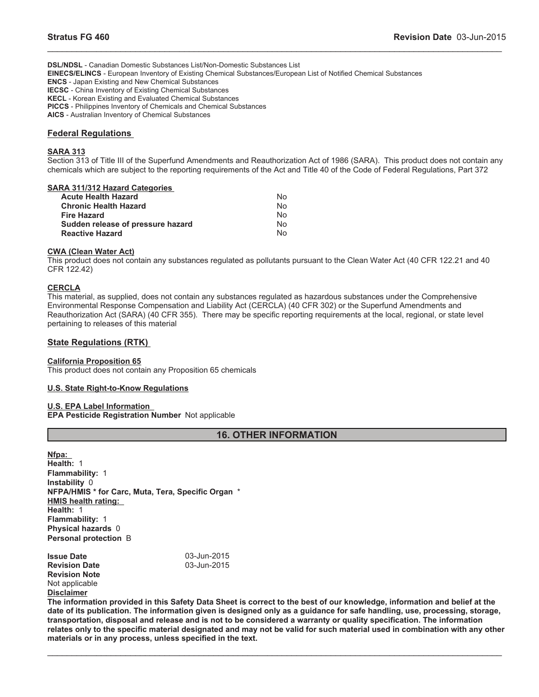**DSL/NDSL** - Canadian Domestic Substances List/Non-Domestic Substances List **EINECS/ELINCS** - European Inventory of Existing Chemical Substances/European List of Notified Chemical Substances **ENCS** - Japan Existing and New Chemical Substances **IECSC** - China Inventory of Existing Chemical Substances **KECL** - Korean Existing and Evaluated Chemical Substances **PICCS** - Philippines Inventory of Chemicals and Chemical Substances **AICS** - Australian Inventory of Chemical Substances

#### **Federal Regulations**

#### **SARA 313**

Section 313 of Title III of the Superfund Amendments and Reauthorization Act of 1986 (SARA). This product does not contain any chemicals which are subject to the reporting requirements of the Act and Title 40 of the Code of Federal Regulations, Part 372

\_\_\_\_\_\_\_\_\_\_\_\_\_\_\_\_\_\_\_\_\_\_\_\_\_\_\_\_\_\_\_\_\_\_\_\_\_\_\_\_\_\_\_\_\_\_\_\_\_\_\_\_\_\_\_\_\_\_\_\_\_\_\_\_\_\_\_\_\_\_\_\_\_\_\_\_\_\_\_\_\_\_\_\_\_\_\_\_\_\_\_\_\_

#### **SARA 311/312 Hazard Categories**

| <b>Acute Health Hazard</b>        | No  |
|-----------------------------------|-----|
| <b>Chronic Health Hazard</b>      | No. |
| <b>Fire Hazard</b>                | No. |
| Sudden release of pressure hazard | No. |
| <b>Reactive Hazard</b>            | No. |

#### **CWA (Clean Water Act)**

This product does not contain any substances regulated as pollutants pursuant to the Clean Water Act (40 CFR 122.21 and 40 CFR 122.42)

#### **CERCLA**

This material, as supplied, does not contain any substances regulated as hazardous substances under the Comprehensive Environmental Response Compensation and Liability Act (CERCLA) (40 CFR 302) or the Superfund Amendments and Reauthorization Act (SARA) (40 CFR 355). There may be specific reporting requirements at the local, regional, or state level pertaining to releases of this material

#### **State Regulations (RTK)**

#### **California Proposition 65**

This product does not contain any Proposition 65 chemicals

#### **U.S. State Right-to-Know Regulations**

#### **U.S. EPA Label Information EPA Pesticide Registration Number** Not applicable

#### **16. OTHER INFORMATION**

**Nfpa: Health:** 1 **Flammability:** 1 **Instability** 0 **NFPA/HMIS \* for Carc, Muta, Tera, Specific Organ** \* **HMIS health rating: Health:** 1 **Flammability:** 1 **Physical hazards** 0 **Personal protection** B

| <b>Issue Date</b>    | 03-Jun-2015 |
|----------------------|-------------|
| <b>Revision Date</b> | 03-Jun-2015 |
| <b>Revision Note</b> |             |
| Not applicable       |             |
| <b>Disclaimer</b>    |             |

**The information provided in this Safety Data Sheet is correct to the best of our knowledge, information and belief at the date of its publication. The information given is designed only as a guidance for safe handling, use, processing, storage, transportation, disposal and release and is not to be considered a warranty or quality specification. The information relates only to the specific material designated and may not be valid for such material used in combination with any other materials or in any process, unless specified in the text.**

 $\_$  , and the contribution of the contribution of the contribution of the contribution of  $\mathcal{L}_\text{max}$